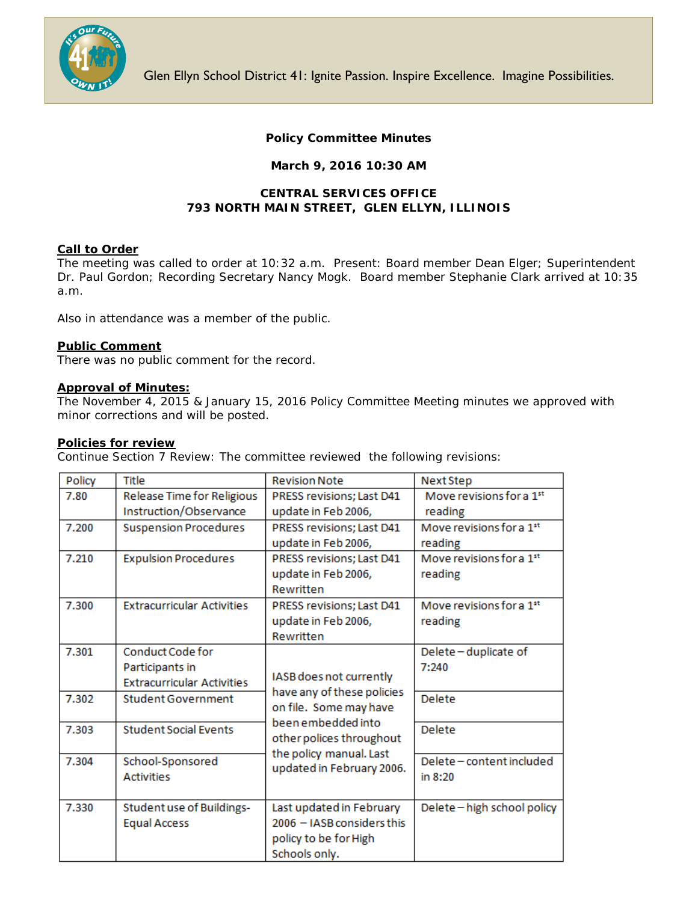

# **Policy Committee Minutes**

## **March 9, 2016 10:30 AM**

## **CENTRAL SERVICES OFFICE 793 NORTH MAIN STREET, GLEN ELLYN, ILLINOIS**

### **Call to Order**

The meeting was called to order at 10:32 a.m. Present: Board member Dean Elger; Superintendent Dr. Paul Gordon; Recording Secretary Nancy Mogk. Board member Stephanie Clark arrived at 10:35 a.m.

Also in attendance was a member of the public.

### **Public Comment**

There was no public comment for the record.

### **Approval of Minutes:**

The November 4, 2015 & January 15, 2016 Policy Committee Meeting minutes we approved with minor corrections and will be posted.

### **Policies for review**

Continue Section 7 Review: The committee reviewed the following revisions:

| Policy | Title                             | <b>Revision Note</b>                                                            | Next Step                            |
|--------|-----------------------------------|---------------------------------------------------------------------------------|--------------------------------------|
| 7.80   | Release Time for Religious        | PRESS revisions; Last D41                                                       | Move revisions for a 1 <sup>st</sup> |
|        | Instruction/Observance            | update in Feb 2006,                                                             | reading                              |
| 7.200  | <b>Suspension Procedures</b>      | PRESS revisions; Last D41                                                       | Move revisions for a 1st             |
|        |                                   | update in Feb 2006,                                                             | reading                              |
| 7.210  | <b>Expulsion Procedures</b>       | PRESS revisions; Last D41                                                       | Move revisions for a 1st             |
|        |                                   | update in Feb 2006,                                                             | reading                              |
|        |                                   | Rewritten                                                                       |                                      |
| 7.300  | <b>Extracurricular Activities</b> | PRESS revisions; Last D41                                                       | Move revisions for a 1 <sup>st</sup> |
|        |                                   | update in Feb 2006,                                                             | reading                              |
|        |                                   | Rewritten                                                                       |                                      |
| 7.301  | <b>Conduct Code for</b>           | IASB does not currently<br>have any of these policies<br>on file. Some may have | Delete-duplicate of                  |
|        | Participants in                   |                                                                                 | 7:240                                |
|        | <b>Extracurricular Activities</b> |                                                                                 |                                      |
| 7.302  | <b>Student Government</b>         |                                                                                 | <b>Delete</b>                        |
|        |                                   |                                                                                 |                                      |
| 7.303  | <b>Student Social Events</b>      | been embedded into                                                              | <b>Delete</b>                        |
|        |                                   | other polices throughout                                                        |                                      |
| 7.304  | School-Sponsored                  | the policy manual. Last                                                         | Delete-content included              |
|        | <b>Activities</b>                 | updated in February 2006.                                                       | in 8:20                              |
|        |                                   |                                                                                 |                                      |
| 7.330  | <b>Student use of Buildings-</b>  | Last updated in February                                                        | Delete-high school policy            |
|        | <b>Equal Access</b>               | 2006 - IASB considers this                                                      |                                      |
|        |                                   | policy to be for High                                                           |                                      |
|        |                                   | Schools only.                                                                   |                                      |